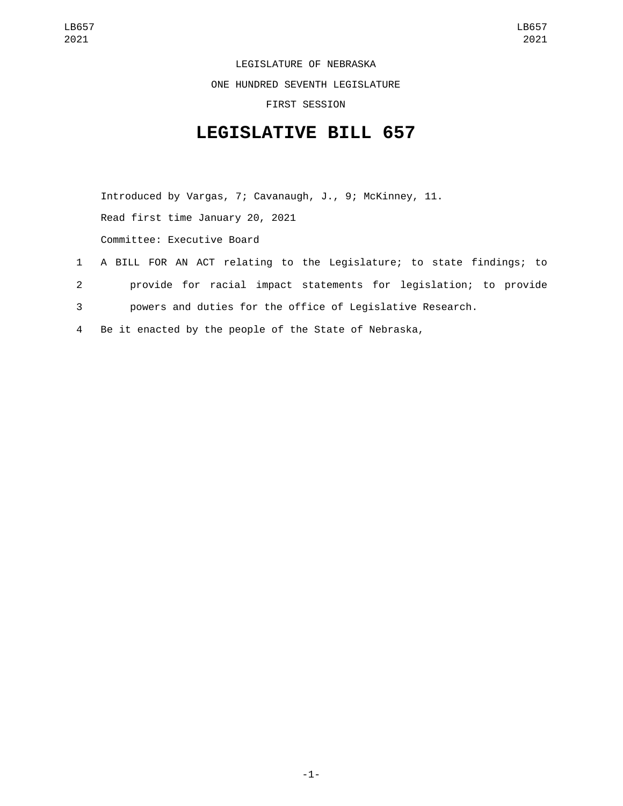LEGISLATURE OF NEBRASKA ONE HUNDRED SEVENTH LEGISLATURE

FIRST SESSION

## **LEGISLATIVE BILL 657**

Introduced by Vargas, 7; Cavanaugh, J., 9; McKinney, 11. Read first time January 20, 2021 Committee: Executive Board

- 1 A BILL FOR AN ACT relating to the Legislature; to state findings; to 2 provide for racial impact statements for legislation; to provide 3 powers and duties for the office of Legislative Research.
- 4 Be it enacted by the people of the State of Nebraska,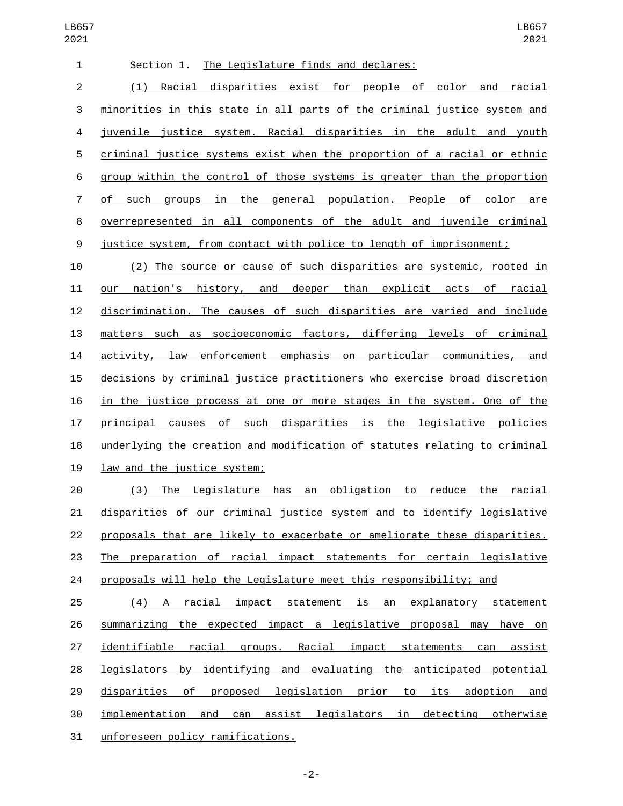| $\mathbf{1}$ | Section 1. The Legislature finds and declares:                           |
|--------------|--------------------------------------------------------------------------|
| 2            | Racial disparities exist for people of color and racial<br>(1)           |
| 3            | minorities in this state in all parts of the criminal justice system and |
| 4            | juvenile justice system. Racial disparities in the adult and youth       |
| 5            | criminal justice systems exist when the proportion of a racial or ethnic |
| 6            | group within the control of those systems is greater than the proportion |
| $7^{\circ}$  | of such groups in the general population. People of color are            |
| 8            | overrepresented in all components of the adult and juvenile criminal     |
| 9            | justice system, from contact with police to length of imprisonment;      |
|              |                                                                          |

 (2) The source or cause of such disparities are systemic, rooted in our nation's history, and deeper than explicit acts of racial discrimination. The causes of such disparities are varied and include matters such as socioeconomic factors, differing levels of criminal activity, law enforcement emphasis on particular communities, and decisions by criminal justice practitioners who exercise broad discretion in the justice process at one or more stages in the system. One of the principal causes of such disparities is the legislative policies underlying the creation and modification of statutes relating to criminal 19 law and the justice system;

 (3) The Legislature has an obligation to reduce the racial disparities of our criminal justice system and to identify legislative proposals that are likely to exacerbate or ameliorate these disparities. The preparation of racial impact statements for certain legislative proposals will help the Legislature meet this responsibility; and

 (4) A racial impact statement is an explanatory statement summarizing the expected impact a legislative proposal may have on identifiable racial groups. Racial impact statements can assist legislators by identifying and evaluating the anticipated potential disparities of proposed legislation prior to its adoption and implementation and can assist legislators in detecting otherwise 31 unforeseen policy ramifications.

-2-